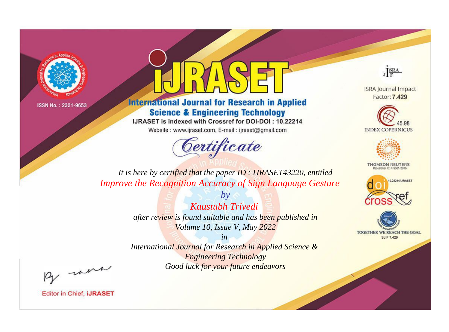



**International Journal for Research in Applied Science & Engineering Technology** 

IJRASET is indexed with Crossref for DOI-DOI: 10.22214

Website: www.ijraset.com, E-mail: ijraset@gmail.com



JERA

**ISRA Journal Impact** Factor: 7.429





**THOMSON REUTERS** 



TOGETHER WE REACH THE GOAL **SJIF 7.429** 

*It is here by certified that the paper ID : IJRASET43220, entitled Improve the Recognition Accuracy of Sign Language Gesture*

> *by Kaustubh Trivedi after review is found suitable and has been published in Volume 10, Issue V, May 2022*

> > *in*

*International Journal for Research in Applied Science & Engineering Technology Good luck for your future endeavors*

By morn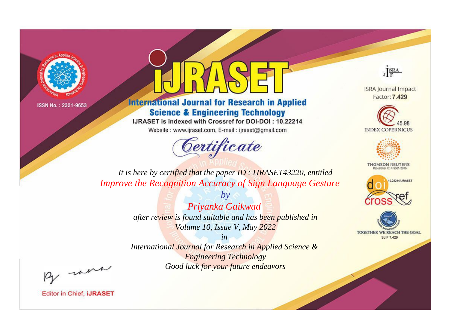

## **International Journal for Research in Applied Science & Engineering Technology**

IJRASET is indexed with Crossref for DOI-DOI: 10.22214

Website: www.ijraset.com, E-mail: ijraset@gmail.com

# Certificate



**ISRA Journal Impact** Factor: 7.429





**THOMSON REUTERS** 



TOGETHER WE REACH THE GOAL **SJIF 7.429** 

*It is here by certified that the paper ID : IJRASET43220, entitled Improve the Recognition Accuracy of Sign Language Gesture*

> *by Priyanka Gaikwad after review is found suitable and has been published in Volume 10, Issue V, May 2022*

> > *in*

*International Journal for Research in Applied Science & Engineering Technology Good luck for your future endeavors*

By morn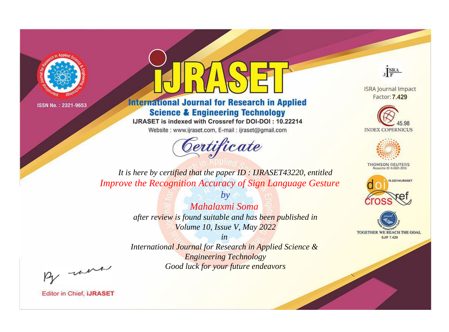

## **International Journal for Research in Applied Science & Engineering Technology**

IJRASET is indexed with Crossref for DOI-DOI: 10.22214

Website: www.ijraset.com, E-mail: ijraset@gmail.com

# Certificate



**ISRA Journal Impact** Factor: 7.429





**THOMSON REUTERS** 



TOGETHER WE REACH THE GOAL **SJIF 7.429** 

*It is here by certified that the paper ID : IJRASET43220, entitled Improve the Recognition Accuracy of Sign Language Gesture*

> *by Mahalaxmi Soma after review is found suitable and has been published in Volume 10, Issue V, May 2022*

> > *in*

*International Journal for Research in Applied Science & Engineering Technology Good luck for your future endeavors*

By morn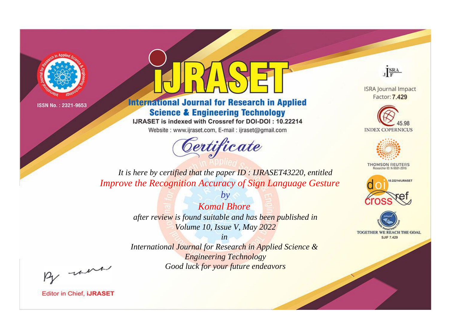



**International Journal for Research in Applied Science & Engineering Technology** 

IJRASET is indexed with Crossref for DOI-DOI: 10.22214

Website: www.ijraset.com, E-mail: ijraset@gmail.com



JERA

**ISRA Journal Impact** Factor: 7.429





**THOMSON REUTERS** 



TOGETHER WE REACH THE GOAL **SJIF 7.429** 

*It is here by certified that the paper ID : IJRASET43220, entitled Improve the Recognition Accuracy of Sign Language Gesture*

> *Komal Bhore after review is found suitable and has been published in Volume 10, Issue V, May 2022*

*by*

*in* 

*International Journal for Research in Applied Science & Engineering Technology Good luck for your future endeavors*

By morn